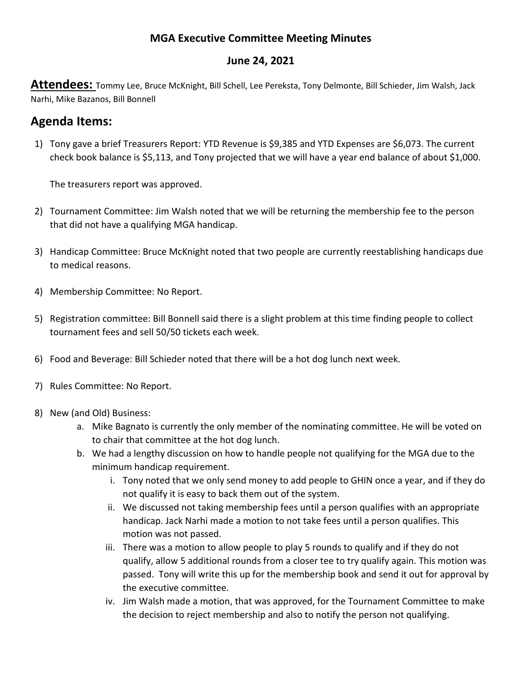## **MGA Executive Committee Meeting Minutes**

## **June 24, 2021**

**Attendees:** Tommy Lee, Bruce McKnight, Bill Schell, Lee Pereksta, Tony Delmonte, Bill Schieder, Jim Walsh, Jack Narhi, Mike Bazanos, Bill Bonnell

## **Agenda Items:**

1) Tony gave a brief Treasurers Report: YTD Revenue is \$9,385 and YTD Expenses are \$6,073. The current check book balance is \$5,113, and Tony projected that we will have a year end balance of about \$1,000.

The treasurers report was approved.

- 2) Tournament Committee: Jim Walsh noted that we will be returning the membership fee to the person that did not have a qualifying MGA handicap.
- 3) Handicap Committee: Bruce McKnight noted that two people are currently reestablishing handicaps due to medical reasons.
- 4) Membership Committee: No Report.
- 5) Registration committee: Bill Bonnell said there is a slight problem at this time finding people to collect tournament fees and sell 50/50 tickets each week.
- 6) Food and Beverage: Bill Schieder noted that there will be a hot dog lunch next week.
- 7) Rules Committee: No Report.
- 8) New (and Old) Business:
	- a. Mike Bagnato is currently the only member of the nominating committee. He will be voted on to chair that committee at the hot dog lunch.
	- b. We had a lengthy discussion on how to handle people not qualifying for the MGA due to the minimum handicap requirement.
		- i. Tony noted that we only send money to add people to GHIN once a year, and if they do not qualify it is easy to back them out of the system.
		- ii. We discussed not taking membership fees until a person qualifies with an appropriate handicap. Jack Narhi made a motion to not take fees until a person qualifies. This motion was not passed.
		- iii. There was a motion to allow people to play 5 rounds to qualify and if they do not qualify, allow 5 additional rounds from a closer tee to try qualify again. This motion was passed. Tony will write this up for the membership book and send it out for approval by the executive committee.
		- iv. Jim Walsh made a motion, that was approved, for the Tournament Committee to make the decision to reject membership and also to notify the person not qualifying.